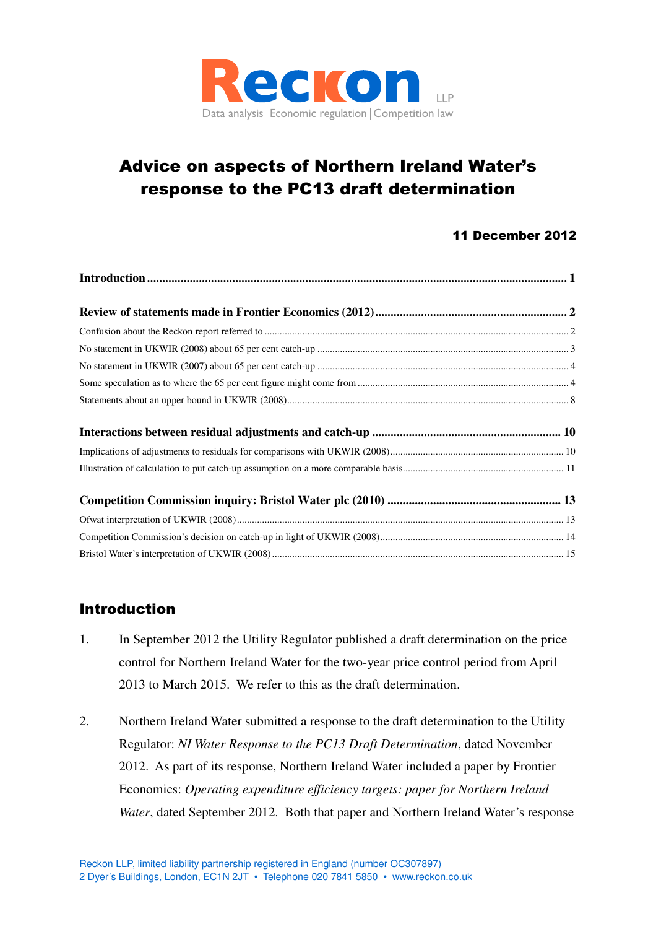

# Advice on aspects of Northern Ireland Water's response to the PC13 draft determination

# 11 December 2012

# **Introduction**

- 1. In September 2012 the Utility Regulator published a draft determination on the price control for Northern Ireland Water for the two-year price control period from April 2013 to March 2015. We refer to this as the draft determination.
- 2. Northern Ireland Water submitted a response to the draft determination to the Utility Regulator: *NI Water Response to the PC13 Draft Determination*, dated November 2012. As part of its response, Northern Ireland Water included a paper by Frontier Economics: *Operating expenditure efficiency targets: paper for Northern Ireland Water*, dated September 2012.Both that paper and Northern Ireland Water's response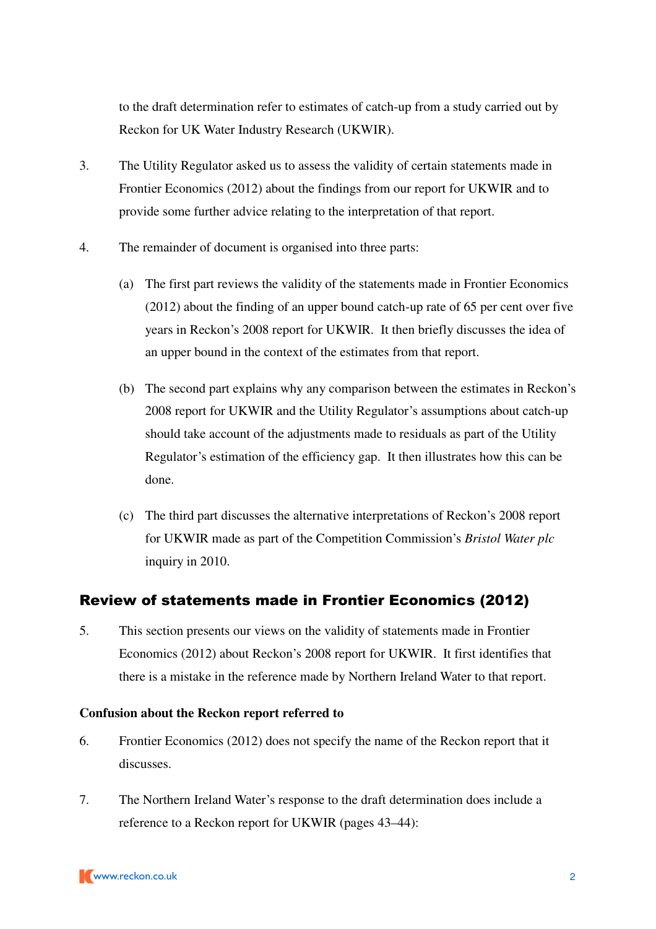to the draft determination refer to estimates of catch-up from a study carried out by Reckon for UK Water Industry Research (UKWIR).

- 3. The Utility Regulator asked us to assess the validity of certain statements made in Frontier Economics (2012) about the findings from our report for UKWIR and to provide some further advice relating to the interpretation of that report.
- 4. The remainder of document is organised into three parts:
	- (a) The first part reviews the validity of the statements made in Frontier Economics (2012) about the finding of an upper bound catch-up rate of 65 per cent over five years in Reckon's 2008 report for UKWIR. It then briefly discusses the idea of an upper bound in the context of the estimates from that report.
	- (b) The second part explains why any comparison between the estimates in Reckon's 2008 report for UKWIR and the Utility Regulator's assumptions about catch-up should take account of the adjustments made to residuals as part of the Utility Regulator's estimation of the efficiency gap. It then illustrates how this can be done.
	- (c) The third part discusses the alternative interpretations of Reckon's 2008 report for UKWIR made as part of the Competition Commission's *Bristol Water plc* inquiry in 2010.

# Review of statements made in Frontier Economics (2012)

5. This section presents our views on the validity of statements made in Frontier Economics (2012) about Reckon's 2008 report for UKWIR. It first identifies that there is a mistake in the reference made by Northern Ireland Water to that report.

## **Confusion about the Reckon report referred to**

- 6. Frontier Economics (2012) does not specify the name of the Reckon report that it discusses.
- 7. The Northern Ireland Water's response to the draft determination does include a reference to a Reckon report for UKWIR (pages 43–44):

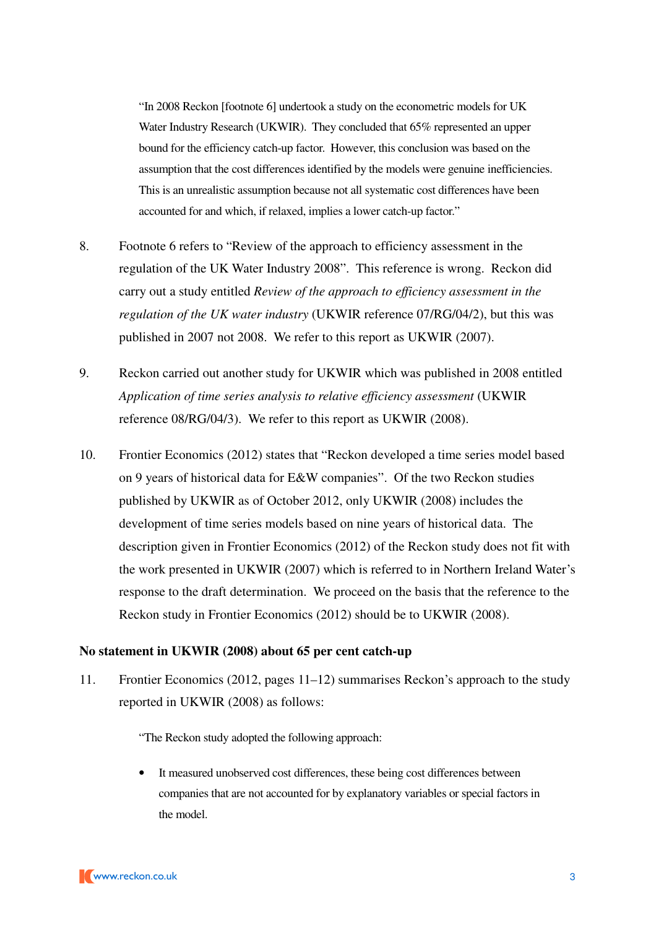"In 2008 Reckon [footnote 6] undertook a study on the econometric models for UK Water Industry Research (UKWIR). They concluded that 65% represented an upper bound for the efficiency catch-up factor. However, this conclusion was based on the assumption that the cost differences identified by the models were genuine inefficiencies. This is an unrealistic assumption because not all systematic cost differences have been accounted for and which, if relaxed, implies a lower catch-up factor."

- 8. Footnote 6 refers to "Review of the approach to efficiency assessment in the regulation of the UK Water Industry 2008". This reference is wrong. Reckon did carry out a study entitled *Review of the approach to efficiency assessment in the regulation of the UK water industry* (UKWIR reference 07/RG/04/2), but this was published in 2007 not 2008. We refer to this report as UKWIR (2007).
- 9. Reckon carried out another study for UKWIR which was published in 2008 entitled *Application of time series analysis to relative efficiency assessment* (UKWIR reference 08/RG/04/3). We refer to this report as UKWIR (2008).
- 10. Frontier Economics (2012) states that "Reckon developed a time series model based on 9 years of historical data for E&W companies". Of the two Reckon studies published by UKWIR as of October 2012, only UKWIR (2008) includes the development of time series models based on nine years of historical data. The description given in Frontier Economics (2012) of the Reckon study does not fit with the work presented in UKWIR (2007) which is referred to in Northern Ireland Water's response to the draft determination. We proceed on the basis that the reference to the Reckon study in Frontier Economics (2012) should be to UKWIR (2008).

#### **No statement in UKWIR (2008) about 65 per cent catch-up**

11. Frontier Economics (2012, pages 11–12) summarises Reckon's approach to the study reported in UKWIR (2008) as follows:

"The Reckon study adopted the following approach:

It measured unobserved cost differences, these being cost differences between companies that are not accounted for by explanatory variables or special factors in the model.

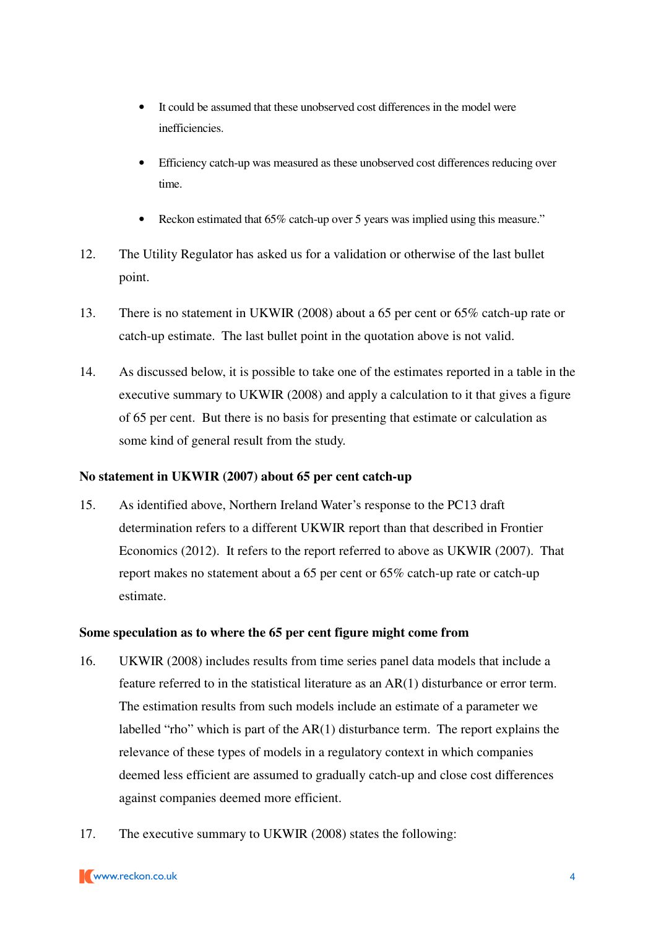- It could be assumed that these unobserved cost differences in the model were inefficiencies.
- Efficiency catch-up was measured as these unobserved cost differences reducing over time.
- Reckon estimated that 65% catch-up over 5 years was implied using this measure."
- 12. The Utility Regulator has asked us for a validation or otherwise of the last bullet point.
- 13. There is no statement in UKWIR (2008) about a 65 per cent or 65% catch-up rate or catch-up estimate. The last bullet point in the quotation above is not valid.
- 14. As discussed below, it is possible to take one of the estimates reported in a table in the executive summary to UKWIR (2008) and apply a calculation to it that gives a figure of 65 per cent. But there is no basis for presenting that estimate or calculation as some kind of general result from the study.

## **No statement in UKWIR (2007) about 65 per cent catch-up**

15. As identified above, Northern Ireland Water's response to the PC13 draft determination refers to a different UKWIR report than that described in Frontier Economics (2012). It refers to the report referred to above as UKWIR (2007). That report makes no statement about a 65 per cent or 65% catch-up rate or catch-up estimate.

## **Some speculation as to where the 65 per cent figure might come from**

- 16. UKWIR (2008) includes results from time series panel data models that include a feature referred to in the statistical literature as an AR(1) disturbance or error term. The estimation results from such models include an estimate of a parameter we labelled "rho" which is part of the AR(1) disturbance term. The report explains the relevance of these types of models in a regulatory context in which companies deemed less efficient are assumed to gradually catch-up and close cost differences against companies deemed more efficient.
- 17. The executive summary to UKWIR (2008) states the following: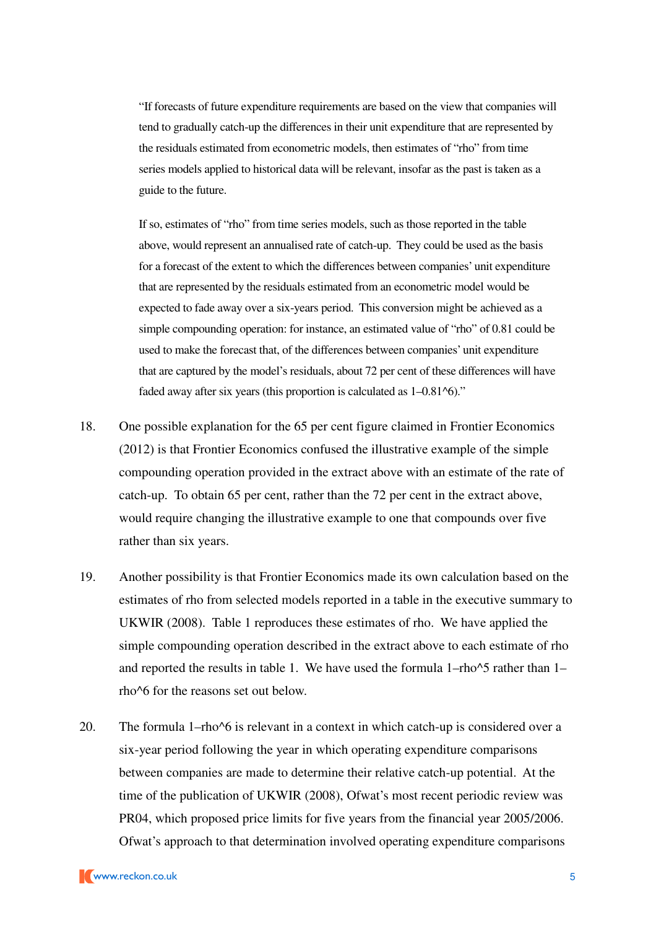"If forecasts of future expenditure requirements are based on the view that companies will tend to gradually catch-up the differences in their unit expenditure that are represented by the residuals estimated from econometric models, then estimates of "rho" from time series models applied to historical data will be relevant, insofar as the past is taken as a guide to the future.

If so, estimates of "rho" from time series models, such as those reported in the table above, would represent an annualised rate of catch-up. They could be used as the basis for a forecast of the extent to which the differences between companies' unit expenditure that are represented by the residuals estimated from an econometric model would be expected to fade away over a six-years period. This conversion might be achieved as a simple compounding operation: for instance, an estimated value of "rho" of 0.81 could be used to make the forecast that, of the differences between companies' unit expenditure that are captured by the model's residuals, about 72 per cent of these differences will have faded away after six years (this proportion is calculated as 1–0.81^6)."

- 18. One possible explanation for the 65 per cent figure claimed in Frontier Economics (2012) is that Frontier Economics confused the illustrative example of the simple compounding operation provided in the extract above with an estimate of the rate of catch-up. To obtain 65 per cent, rather than the 72 per cent in the extract above, would require changing the illustrative example to one that compounds over five rather than six years.
- 19. Another possibility is that Frontier Economics made its own calculation based on the estimates of rho from selected models reported in a table in the executive summary to UKWIR (2008). Table 1 reproduces these estimates of rho. We have applied the simple compounding operation described in the extract above to each estimate of rho and reported the results in table 1. We have used the formula  $1-\text{rho}^{\wedge}5$  rather than  $1-\text{rho}^{\wedge}5$ rho^6 for the reasons set out below.
- 20. The formula 1–rho^6 is relevant in a context in which catch-up is considered over a six-year period following the year in which operating expenditure comparisons between companies are made to determine their relative catch-up potential. At the time of the publication of UKWIR (2008), Ofwat's most recent periodic review was PR04, which proposed price limits for five years from the financial year 2005/2006. Ofwat's approach to that determination involved operating expenditure comparisons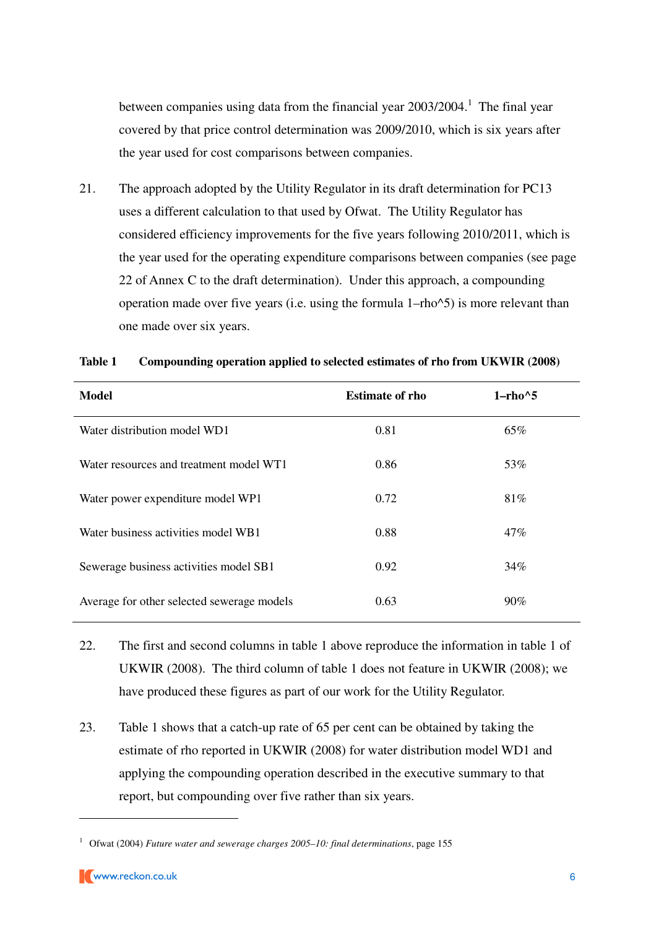between companies using data from the financial year  $2003/2004$ .<sup>1</sup> The final year covered by that price control determination was 2009/2010, which is six years after the year used for cost comparisons between companies.

21. The approach adopted by the Utility Regulator in its draft determination for PC13 uses a different calculation to that used by Ofwat. The Utility Regulator has considered efficiency improvements for the five years following 2010/2011, which is the year used for the operating expenditure comparisons between companies (see page 22 of Annex C to the draft determination). Under this approach, a compounding operation made over five years (i.e. using the formula 1–rho^5) is more relevant than one made over six years.

| <b>Model</b>                               | <b>Estimate of rho</b> | $1$ -rho $^{\wedge}5$ |
|--------------------------------------------|------------------------|-----------------------|
| Water distribution model WD1               | 0.81                   | 65%                   |
| Water resources and treatment model WT1    | 0.86                   | 53%                   |
| Water power expenditure model WP1          | 0.72                   | 81%                   |
| Water business activities model WB1        | 0.88                   | 47%                   |
| Sewerage business activities model SB1     | 0.92                   | 34%                   |
| Average for other selected sewerage models | 0.63                   | $90\%$                |

#### **Table 1 Compounding operation applied to selected estimates of rho from UKWIR (2008)**

- 22. The first and second columns in table 1 above reproduce the information in table 1 of UKWIR (2008). The third column of table 1 does not feature in UKWIR (2008); we have produced these figures as part of our work for the Utility Regulator.
- 23. Table 1 shows that a catch-up rate of 65 per cent can be obtained by taking the estimate of rho reported in UKWIR (2008) for water distribution model WD1 and applying the compounding operation described in the executive summary to that report, but compounding over five rather than six years.

<sup>&</sup>lt;sup>1</sup> Ofwat (2004) *Future water and sewerage charges 2005–10: final determinations*, page 155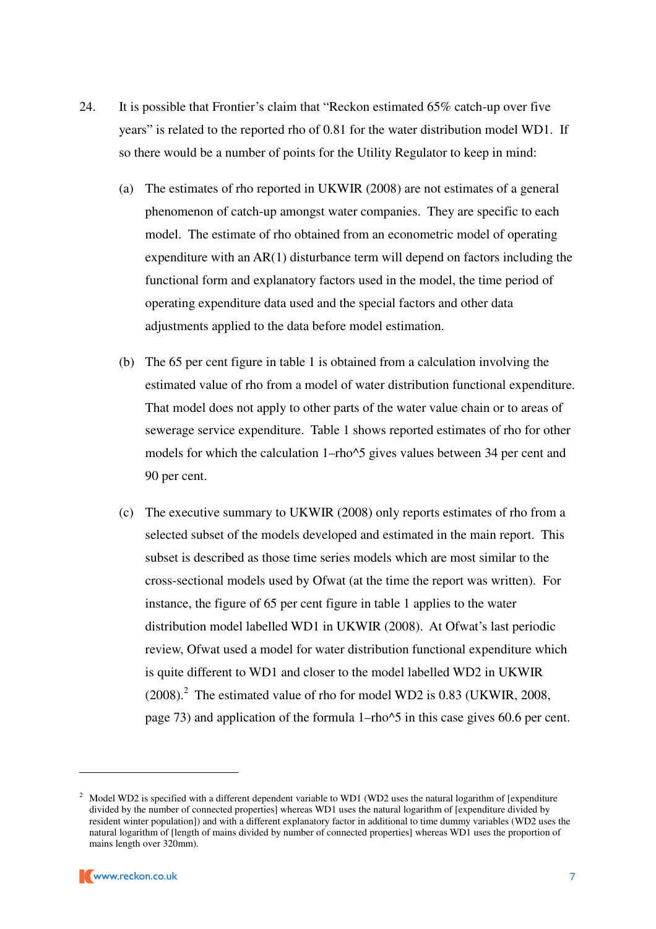- 24. It is possible that Frontier's claim that "Reckon estimated 65% catch-up over five years" is related to the reported rho of 0.81 for the water distribution model WD1. If so there would be a number of points for the Utility Regulator to keep in mind:
	- (a) The estimates of rho reported in UKWIR (2008) are not estimates of a general phenomenon of catch-up amongst water companies. They are specific to each model. The estimate of rho obtained from an econometric model of operating expenditure with an AR(1) disturbance term will depend on factors including the functional form and explanatory factors used in the model, the time period of operating expenditure data used and the special factors and other data adjustments applied to the data before model estimation.
	- (b) The 65 per cent figure in table 1 is obtained from a calculation involving the estimated value of rho from a model of water distribution functional expenditure. That model does not apply to other parts of the water value chain or to areas of sewerage service expenditure. Table 1 shows reported estimates of rho for other models for which the calculation 1–rho^5 gives values between 34 per cent and 90 per cent.
	- (c) The executive summary to UKWIR (2008) only reports estimates of rho from a selected subset of the models developed and estimated in the main report. This subset is described as those time series models which are most similar to the cross-sectional models used by Ofwat (at the time the report was written). For instance, the figure of 65 per cent figure in table 1 applies to the water distribution model labelled WD1 in UKWIR (2008). At Ofwat's last periodic review, Ofwat used a model for water distribution functional expenditure which is quite different to WD1 and closer to the model labelled WD2 in UKWIR  $(2008).$ <sup>2</sup> The estimated value of rho for model WD2 is 0.83 (UKWIR, 2008, page 73) and application of the formula 1–rho^5 in this case gives 60.6 per cent.

<sup>&</sup>lt;sup>2</sup> Model WD2 is specified with a different dependent variable to WD1 (WD2 uses the natural logarithm of [expenditure divided by the number of connected properties] whereas WD1 uses the natural logarithm of [expenditure divided by resident winter population]) and with a different explanatory factor in additional to time dummy variables (WD2 uses the natural logarithm of [length of mains divided by number of connected properties] whereas WD1 uses the proportion of mains length over 320mm).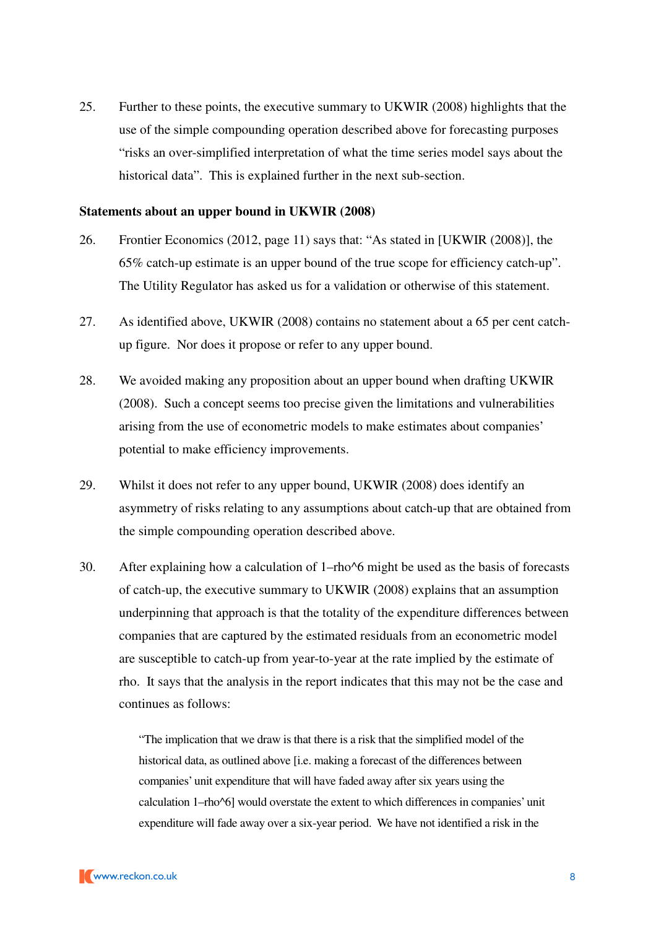25. Further to these points, the executive summary to UKWIR (2008) highlights that the use of the simple compounding operation described above for forecasting purposes "risks an over-simplified interpretation of what the time series model says about the historical data". This is explained further in the next sub-section.

#### **Statements about an upper bound in UKWIR (2008)**

- 26. Frontier Economics (2012, page 11) says that: "As stated in [UKWIR (2008)], the 65% catch-up estimate is an upper bound of the true scope for efficiency catch-up". The Utility Regulator has asked us for a validation or otherwise of this statement.
- 27. As identified above, UKWIR (2008) contains no statement about a 65 per cent catchup figure. Nor does it propose or refer to any upper bound.
- 28. We avoided making any proposition about an upper bound when drafting UKWIR (2008). Such a concept seems too precise given the limitations and vulnerabilities arising from the use of econometric models to make estimates about companies' potential to make efficiency improvements.
- 29. Whilst it does not refer to any upper bound, UKWIR (2008) does identify an asymmetry of risks relating to any assumptions about catch-up that are obtained from the simple compounding operation described above.
- 30. After explaining how a calculation of 1–rho^6 might be used as the basis of forecasts of catch-up, the executive summary to UKWIR (2008) explains that an assumption underpinning that approach is that the totality of the expenditure differences between companies that are captured by the estimated residuals from an econometric model are susceptible to catch-up from year-to-year at the rate implied by the estimate of rho. It says that the analysis in the report indicates that this may not be the case and continues as follows:

"The implication that we draw is that there is a risk that the simplified model of the historical data, as outlined above [i.e. making a forecast of the differences between companies' unit expenditure that will have faded away after six years using the calculation 1–rho^6] would overstate the extent to which differences in companies' unit expenditure will fade away over a six-year period. We have not identified a risk in the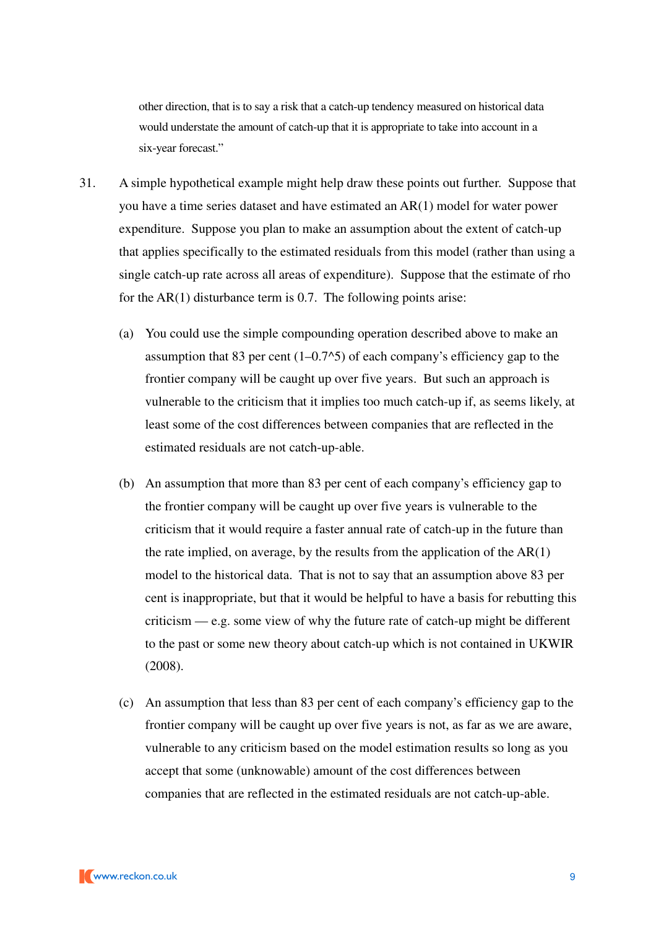other direction, that is to say a risk that a catch-up tendency measured on historical data would understate the amount of catch-up that it is appropriate to take into account in a six-year forecast."

- 31. A simple hypothetical example might help draw these points out further. Suppose that you have a time series dataset and have estimated an AR(1) model for water power expenditure. Suppose you plan to make an assumption about the extent of catch-up that applies specifically to the estimated residuals from this model (rather than using a single catch-up rate across all areas of expenditure). Suppose that the estimate of rho for the AR(1) disturbance term is 0.7. The following points arise:
	- (a) You could use the simple compounding operation described above to make an assumption that 83 per cent  $(1-0.7<sup>5</sup>)$  of each company's efficiency gap to the frontier company will be caught up over five years. But such an approach is vulnerable to the criticism that it implies too much catch-up if, as seems likely, at least some of the cost differences between companies that are reflected in the estimated residuals are not catch-up-able.
	- (b) An assumption that more than 83 per cent of each company's efficiency gap to the frontier company will be caught up over five years is vulnerable to the criticism that it would require a faster annual rate of catch-up in the future than the rate implied, on average, by the results from the application of the  $AR(1)$ model to the historical data. That is not to say that an assumption above 83 per cent is inappropriate, but that it would be helpful to have a basis for rebutting this criticism — e.g. some view of why the future rate of catch-up might be different to the past or some new theory about catch-up which is not contained in UKWIR (2008).
	- (c) An assumption that less than 83 per cent of each company's efficiency gap to the frontier company will be caught up over five years is not, as far as we are aware, vulnerable to any criticism based on the model estimation results so long as you accept that some (unknowable) amount of the cost differences between companies that are reflected in the estimated residuals are not catch-up-able.

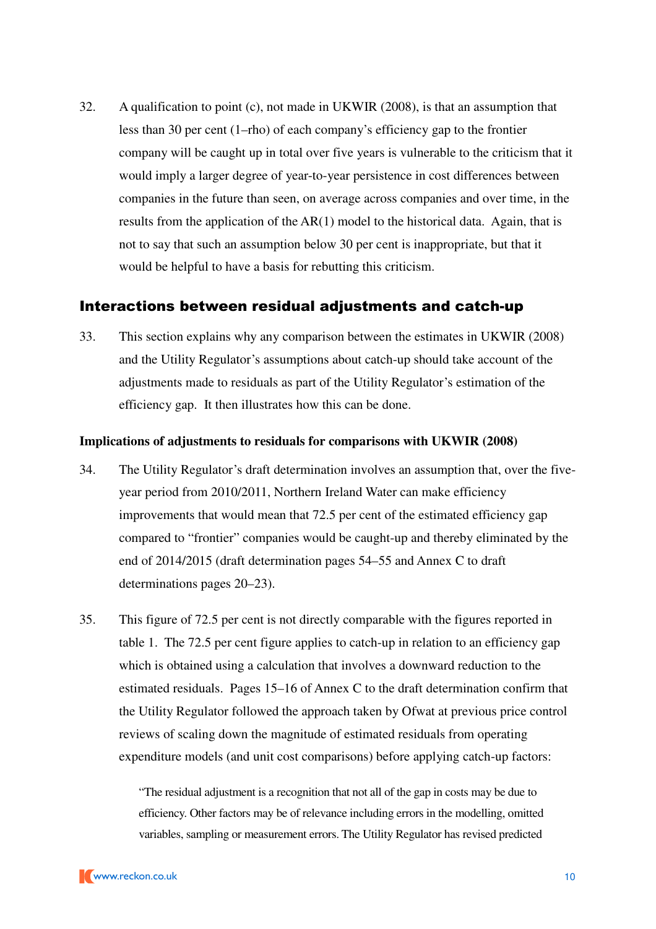32. A qualification to point (c), not made in UKWIR (2008), is that an assumption that less than 30 per cent (1–rho) of each company's efficiency gap to the frontier company will be caught up in total over five years is vulnerable to the criticism that it would imply a larger degree of year-to-year persistence in cost differences between companies in the future than seen, on average across companies and over time, in the results from the application of the AR(1) model to the historical data. Again, that is not to say that such an assumption below 30 per cent is inappropriate, but that it would be helpful to have a basis for rebutting this criticism.

## Interactions between residual adjustments and catch-up

33. This section explains why any comparison between the estimates in UKWIR (2008) and the Utility Regulator's assumptions about catch-up should take account of the adjustments made to residuals as part of the Utility Regulator's estimation of the efficiency gap. It then illustrates how this can be done.

### **Implications of adjustments to residuals for comparisons with UKWIR (2008)**

- 34. The Utility Regulator's draft determination involves an assumption that, over the fiveyear period from 2010/2011, Northern Ireland Water can make efficiency improvements that would mean that 72.5 per cent of the estimated efficiency gap compared to "frontier" companies would be caught-up and thereby eliminated by the end of 2014/2015 (draft determination pages 54–55 and Annex C to draft determinations pages 20–23).
- 35. This figure of 72.5 per cent is not directly comparable with the figures reported in table 1. The 72.5 per cent figure applies to catch-up in relation to an efficiency gap which is obtained using a calculation that involves a downward reduction to the estimated residuals. Pages 15–16 of Annex C to the draft determination confirm that the Utility Regulator followed the approach taken by Ofwat at previous price control reviews of scaling down the magnitude of estimated residuals from operating expenditure models (and unit cost comparisons) before applying catch-up factors:

"The residual adjustment is a recognition that not all of the gap in costs may be due to efficiency. Other factors may be of relevance including errors in the modelling, omitted variables, sampling or measurement errors. The Utility Regulator has revised predicted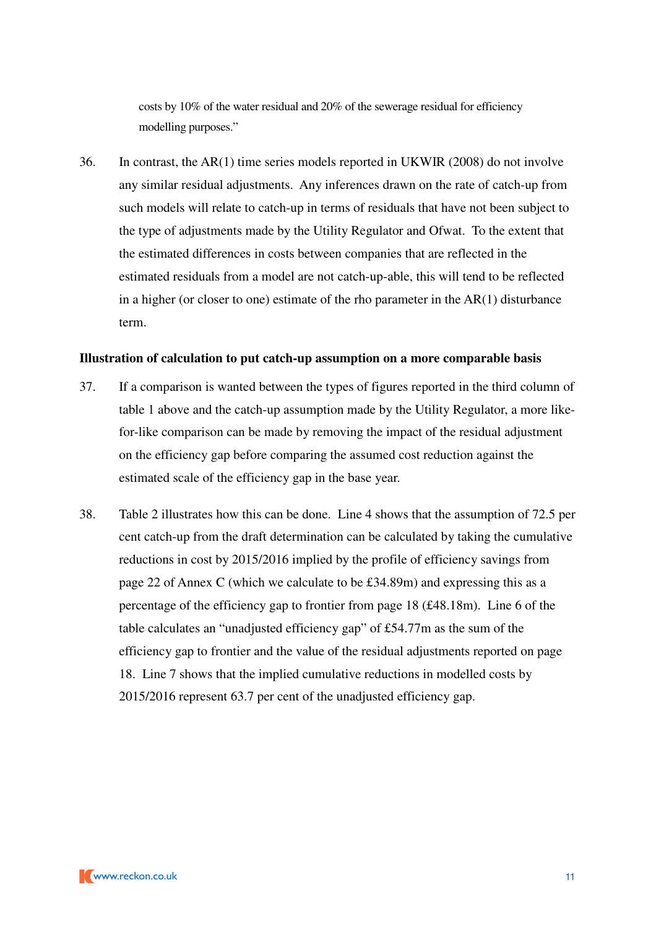costs by 10% of the water residual and 20% of the sewerage residual for efficiency modelling purposes."

36. In contrast, the AR(1) time series models reported in UKWIR (2008) do not involve any similar residual adjustments. Any inferences drawn on the rate of catch-up from such models will relate to catch-up in terms of residuals that have not been subject to the type of adjustments made by the Utility Regulator and Ofwat. To the extent that the estimated differences in costs between companies that are reflected in the estimated residuals from a model are not catch-up-able, this will tend to be reflected in a higher (or closer to one) estimate of the rho parameter in the AR(1) disturbance term.

#### **Illustration of calculation to put catch-up assumption on a more comparable basis**

- 37. If a comparison is wanted between the types of figures reported in the third column of table 1 above and the catch-up assumption made by the Utility Regulator, a more likefor-like comparison can be made by removing the impact of the residual adjustment on the efficiency gap before comparing the assumed cost reduction against the estimated scale of the efficiency gap in the base year.
- 38. Table 2 illustrates how this can be done. Line 4 shows that the assumption of 72.5 per cent catch-up from the draft determination can be calculated by taking the cumulative reductions in cost by 2015/2016 implied by the profile of efficiency savings from page 22 of Annex C (which we calculate to be £34.89m) and expressing this as a percentage of the efficiency gap to frontier from page 18 (£48.18m). Line 6 of the table calculates an "unadjusted efficiency gap" of £54.77m as the sum of the efficiency gap to frontier and the value of the residual adjustments reported on page 18. Line 7 shows that the implied cumulative reductions in modelled costs by 2015/2016 represent 63.7 per cent of the unadjusted efficiency gap.

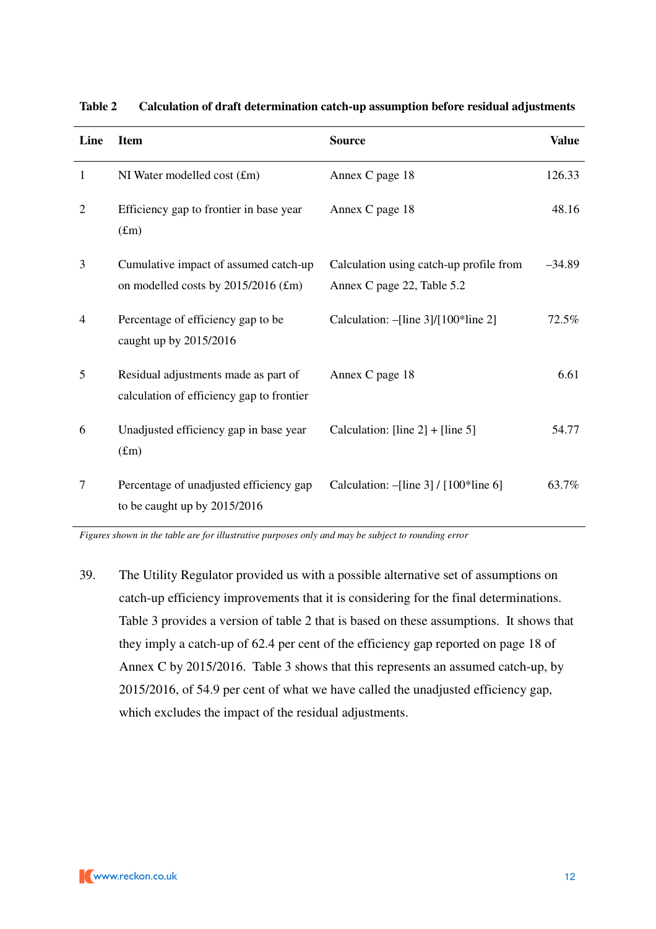| Line           | <b>Item</b>                                                                       | <b>Source</b>                                                         | <b>Value</b> |
|----------------|-----------------------------------------------------------------------------------|-----------------------------------------------------------------------|--------------|
| $\mathbf{1}$   | NI Water modelled cost (£m)                                                       | Annex C page 18                                                       | 126.33       |
| $\overline{2}$ | Efficiency gap to frontier in base year<br>$(f_m)$                                | Annex C page 18                                                       | 48.16        |
| 3              | Cumulative impact of assumed catch-up<br>on modelled costs by $2015/2016$ (£m)    | Calculation using catch-up profile from<br>Annex C page 22, Table 5.2 | $-34.89$     |
| 4              | Percentage of efficiency gap to be<br>caught up by 2015/2016                      | Calculation: -[line 3]/[100*line 2]                                   | 72.5%        |
| 5              | Residual adjustments made as part of<br>calculation of efficiency gap to frontier | Annex C page 18                                                       | 6.61         |
| 6              | Unadjusted efficiency gap in base year<br>(f <sub>m</sub> )                       | Calculation: [line $2] +$ [line 5]                                    | 54.77        |
| 7              | Percentage of unadjusted efficiency gap<br>to be caught up by $2015/2016$         | Calculation: $-[line 3] / [100*line 6]$                               | 63.7%        |

**Table 2 Calculation of draft determination catch-up assumption before residual adjustments** 

*Figures shown in the table are for illustrative purposes only and may be subject to rounding error* 

39. The Utility Regulator provided us with a possible alternative set of assumptions on catch-up efficiency improvements that it is considering for the final determinations. Table 3 provides a version of table 2 that is based on these assumptions. It shows that they imply a catch-up of 62.4 per cent of the efficiency gap reported on page 18 of Annex C by 2015/2016. Table 3 shows that this represents an assumed catch-up, by 2015/2016, of 54.9 per cent of what we have called the unadjusted efficiency gap, which excludes the impact of the residual adjustments.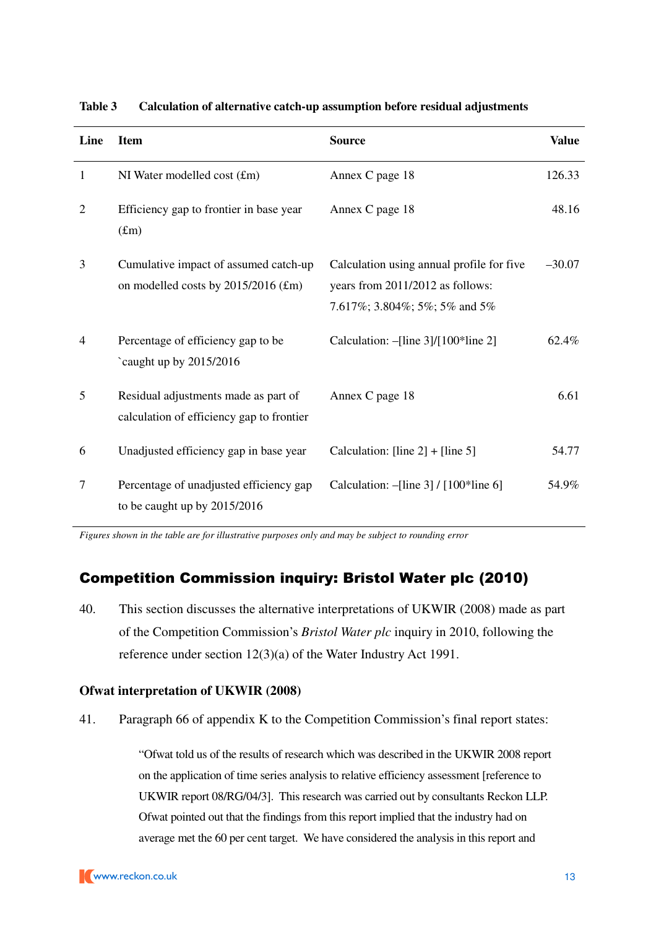| Line           | <b>Item</b>                                                                       | <b>Source</b>                                                                                                  | <b>Value</b> |
|----------------|-----------------------------------------------------------------------------------|----------------------------------------------------------------------------------------------------------------|--------------|
| $\mathbf{1}$   | NI Water modelled cost $(fm)$                                                     | Annex C page 18                                                                                                | 126.33       |
| $\overline{2}$ | Efficiency gap to frontier in base year<br>(f.m)                                  | Annex C page 18                                                                                                | 48.16        |
| 3              | Cumulative impact of assumed catch-up<br>on modelled costs by 2015/2016 (£m)      | Calculation using annual profile for five<br>years from 2011/2012 as follows:<br>7.617%; 3.804%; 5%; 5% and 5% | $-30.07$     |
| $\overline{4}$ | Percentage of efficiency gap to be<br>`caught up by 2015/2016                     | Calculation: $-[line 3]/[100*line 2]$                                                                          | 62.4%        |
| 5              | Residual adjustments made as part of<br>calculation of efficiency gap to frontier | Annex C page 18                                                                                                | 6.61         |
| 6              | Unadjusted efficiency gap in base year                                            | Calculation: [line $2] +$ [line 5]                                                                             | 54.77        |
| 7              | Percentage of unadjusted efficiency gap<br>to be caught up by 2015/2016           | Calculation: $-[line 3] / [100*line 6]$                                                                        | 54.9%        |

**Table 3 Calculation of alternative catch-up assumption before residual adjustments** 

*Figures shown in the table are for illustrative purposes only and may be subject to rounding error* 

# Competition Commission inquiry: Bristol Water plc (2010)

40. This section discusses the alternative interpretations of UKWIR (2008) made as part of the Competition Commission's *Bristol Water plc* inquiry in 2010, following the reference under section 12(3)(a) of the Water Industry Act 1991.

#### **Ofwat interpretation of UKWIR (2008)**

41. Paragraph 66 of appendix K to the Competition Commission's final report states:

"Ofwat told us of the results of research which was described in the UKWIR 2008 report on the application of time series analysis to relative efficiency assessment [reference to UKWIR report 08/RG/04/3]. This research was carried out by consultants Reckon LLP. Ofwat pointed out that the findings from this report implied that the industry had on average met the 60 per cent target. We have considered the analysis in this report and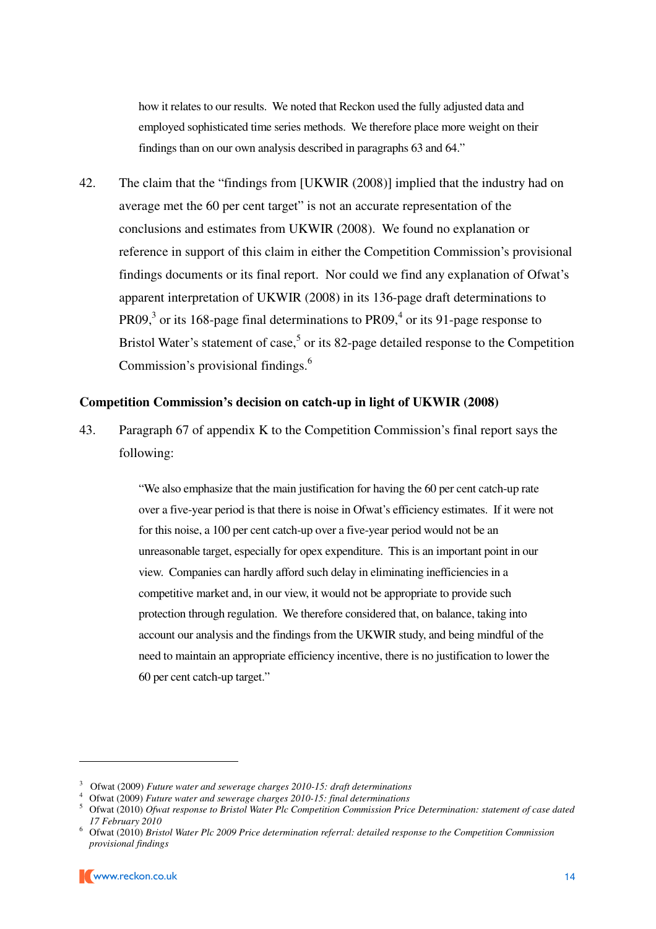how it relates to our results. We noted that Reckon used the fully adjusted data and employed sophisticated time series methods. We therefore place more weight on their findings than on our own analysis described in paragraphs 63 and 64."

42. The claim that the "findings from [UKWIR (2008)] implied that the industry had on average met the 60 per cent target" is not an accurate representation of the conclusions and estimates from UKWIR (2008). We found no explanation or reference in support of this claim in either the Competition Commission's provisional findings documents or its final report. Nor could we find any explanation of Ofwat's apparent interpretation of UKWIR (2008) in its 136-page draft determinations to PR09,<sup>3</sup> or its 168-page final determinations to PR09,<sup>4</sup> or its 91-page response to Bristol Water's statement of case,<sup>5</sup> or its 82-page detailed response to the Competition Commission's provisional findings.<sup>6</sup>

#### **Competition Commission's decision on catch-up in light of UKWIR (2008)**

43. Paragraph 67 of appendix K to the Competition Commission's final report says the following:

> "We also emphasize that the main justification for having the 60 per cent catch-up rate over a five-year period is that there is noise in Ofwat's efficiency estimates. If it were not for this noise, a 100 per cent catch-up over a five-year period would not be an unreasonable target, especially for opex expenditure. This is an important point in our view. Companies can hardly afford such delay in eliminating inefficiencies in a competitive market and, in our view, it would not be appropriate to provide such protection through regulation. We therefore considered that, on balance, taking into account our analysis and the findings from the UKWIR study, and being mindful of the need to maintain an appropriate efficiency incentive, there is no justification to lower the 60 per cent catch-up target."

<sup>3</sup> Ofwat (2009) *Future water and sewerage charges 2010-15: draft determinations*

<sup>4</sup> Ofwat (2009) *Future water and sewerage charges 2010-15: final determinations* 

<sup>5</sup> Ofwat (2010) *Ofwat response to Bristol Water Plc Competition Commission Price Determination: statement of case dated 17 February 2010*

<sup>6</sup> Ofwat (2010) *Bristol Water Plc 2009 Price determination referral: detailed response to the Competition Commission provisional findings*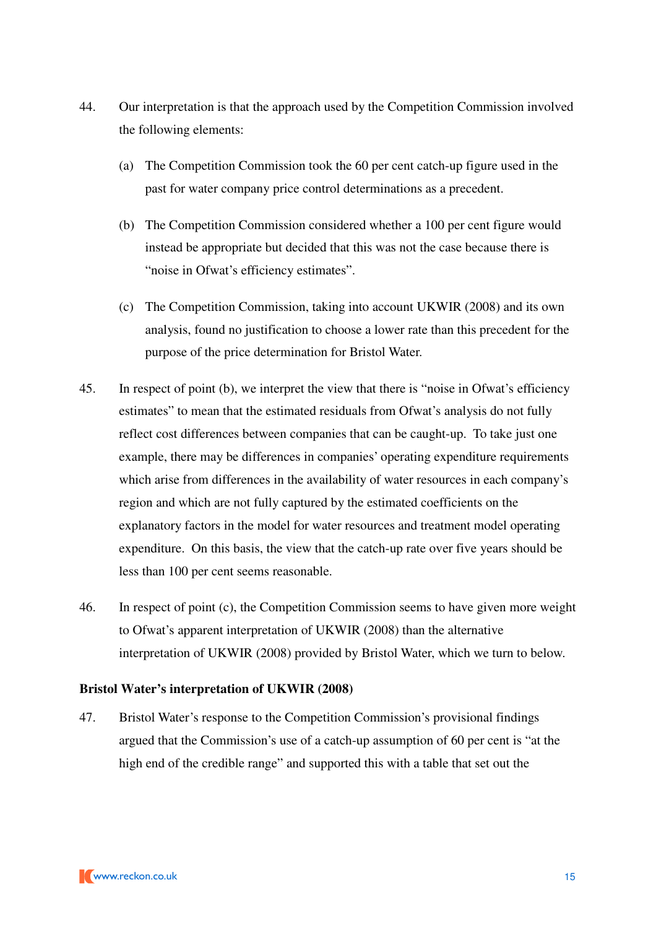- 44. Our interpretation is that the approach used by the Competition Commission involved the following elements:
	- (a) The Competition Commission took the 60 per cent catch-up figure used in the past for water company price control determinations as a precedent.
	- (b) The Competition Commission considered whether a 100 per cent figure would instead be appropriate but decided that this was not the case because there is "noise in Ofwat's efficiency estimates".
	- (c) The Competition Commission, taking into account UKWIR (2008) and its own analysis, found no justification to choose a lower rate than this precedent for the purpose of the price determination for Bristol Water.
- 45. In respect of point (b), we interpret the view that there is "noise in Ofwat's efficiency estimates" to mean that the estimated residuals from Ofwat's analysis do not fully reflect cost differences between companies that can be caught-up. To take just one example, there may be differences in companies' operating expenditure requirements which arise from differences in the availability of water resources in each company's region and which are not fully captured by the estimated coefficients on the explanatory factors in the model for water resources and treatment model operating expenditure. On this basis, the view that the catch-up rate over five years should be less than 100 per cent seems reasonable.
- 46. In respect of point (c), the Competition Commission seems to have given more weight to Ofwat's apparent interpretation of UKWIR (2008) than the alternative interpretation of UKWIR (2008) provided by Bristol Water, which we turn to below.

## **Bristol Water's interpretation of UKWIR (2008)**

47. Bristol Water's response to the Competition Commission's provisional findings argued that the Commission's use of a catch-up assumption of 60 per cent is "at the high end of the credible range" and supported this with a table that set out the

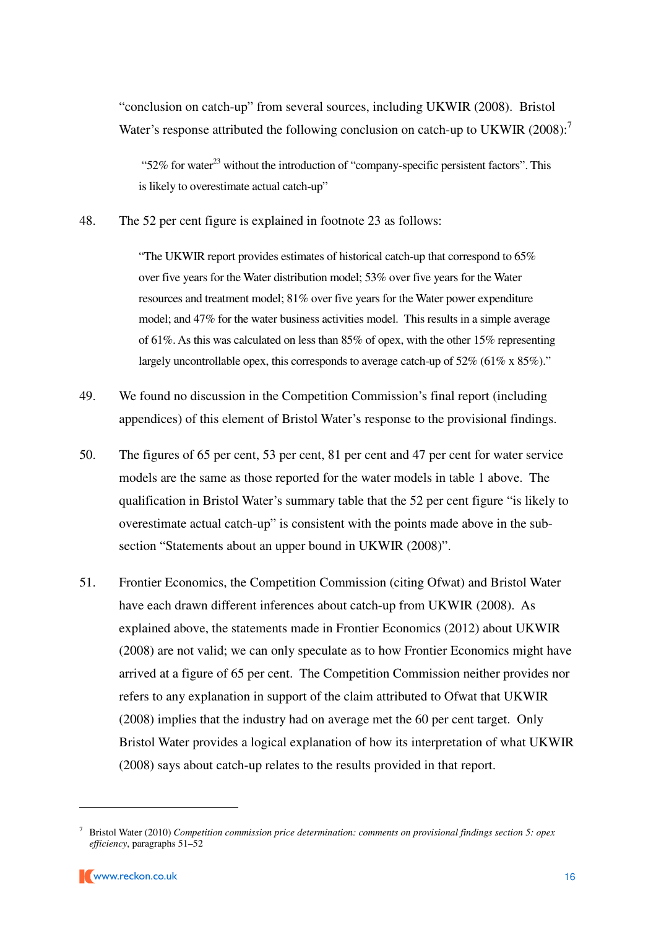"conclusion on catch-up" from several sources, including UKWIR (2008). Bristol Water's response attributed the following conclusion on catch-up to UKWIR (2008):<sup>7</sup>

"52% for water<sup>23</sup> without the introduction of "company-specific persistent factors". This is likely to overestimate actual catch-up"

48. The 52 per cent figure is explained in footnote 23 as follows:

"The UKWIR report provides estimates of historical catch-up that correspond to 65% over five years for the Water distribution model; 53% over five years for the Water resources and treatment model; 81% over five years for the Water power expenditure model; and 47% for the water business activities model. This results in a simple average of 61%. As this was calculated on less than 85% of opex, with the other 15% representing largely uncontrollable opex, this corresponds to average catch-up of 52% (61% x 85%)."

- 49. We found no discussion in the Competition Commission's final report (including appendices) of this element of Bristol Water's response to the provisional findings.
- 50. The figures of 65 per cent, 53 per cent, 81 per cent and 47 per cent for water service models are the same as those reported for the water models in table 1 above. The qualification in Bristol Water's summary table that the 52 per cent figure "is likely to overestimate actual catch-up" is consistent with the points made above in the subsection "Statements about an upper bound in UKWIR (2008)".
- 51. Frontier Economics, the Competition Commission (citing Ofwat) and Bristol Water have each drawn different inferences about catch-up from UKWIR (2008). As explained above, the statements made in Frontier Economics (2012) about UKWIR (2008) are not valid; we can only speculate as to how Frontier Economics might have arrived at a figure of 65 per cent. The Competition Commission neither provides nor refers to any explanation in support of the claim attributed to Ofwat that UKWIR (2008) implies that the industry had on average met the 60 per cent target. Only Bristol Water provides a logical explanation of how its interpretation of what UKWIR (2008) says about catch-up relates to the results provided in that report.

<sup>7</sup> Bristol Water (2010) *Competition commission price determination: comments on provisional findings section 5: opex efficiency*, paragraphs 51–52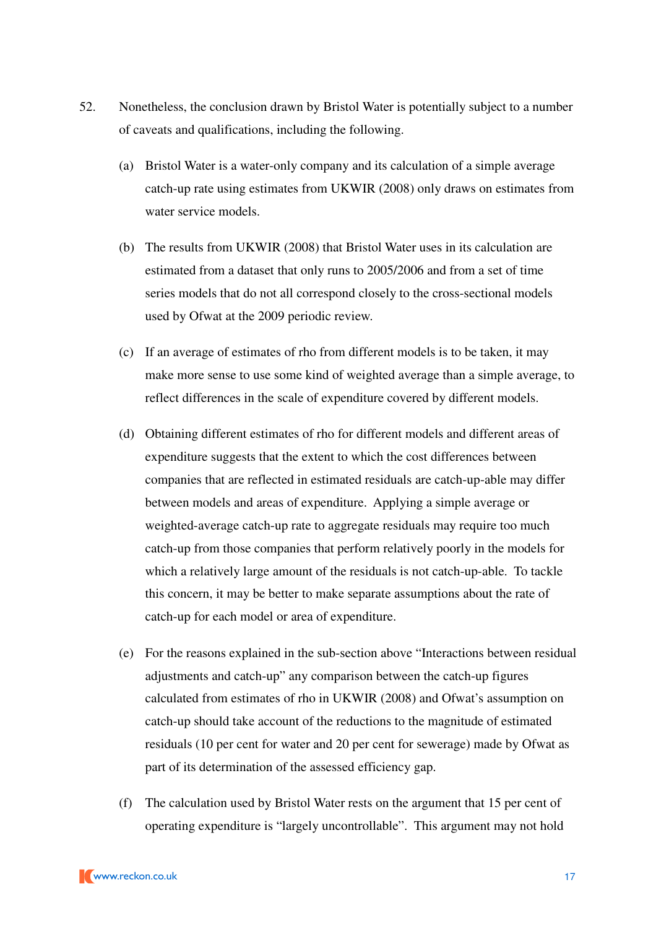- 52. Nonetheless, the conclusion drawn by Bristol Water is potentially subject to a number of caveats and qualifications, including the following.
	- (a) Bristol Water is a water-only company and its calculation of a simple average catch-up rate using estimates from UKWIR (2008) only draws on estimates from water service models.
	- (b) The results from UKWIR (2008) that Bristol Water uses in its calculation are estimated from a dataset that only runs to 2005/2006 and from a set of time series models that do not all correspond closely to the cross-sectional models used by Ofwat at the 2009 periodic review.
	- (c) If an average of estimates of rho from different models is to be taken, it may make more sense to use some kind of weighted average than a simple average, to reflect differences in the scale of expenditure covered by different models.
	- (d) Obtaining different estimates of rho for different models and different areas of expenditure suggests that the extent to which the cost differences between companies that are reflected in estimated residuals are catch-up-able may differ between models and areas of expenditure. Applying a simple average or weighted-average catch-up rate to aggregate residuals may require too much catch-up from those companies that perform relatively poorly in the models for which a relatively large amount of the residuals is not catch-up-able. To tackle this concern, it may be better to make separate assumptions about the rate of catch-up for each model or area of expenditure.
	- (e) For the reasons explained in the sub-section above "Interactions between residual adjustments and catch-up" any comparison between the catch-up figures calculated from estimates of rho in UKWIR (2008) and Ofwat's assumption on catch-up should take account of the reductions to the magnitude of estimated residuals (10 per cent for water and 20 per cent for sewerage) made by Ofwat as part of its determination of the assessed efficiency gap.
	- (f) The calculation used by Bristol Water rests on the argument that 15 per cent of operating expenditure is "largely uncontrollable". This argument may not hold